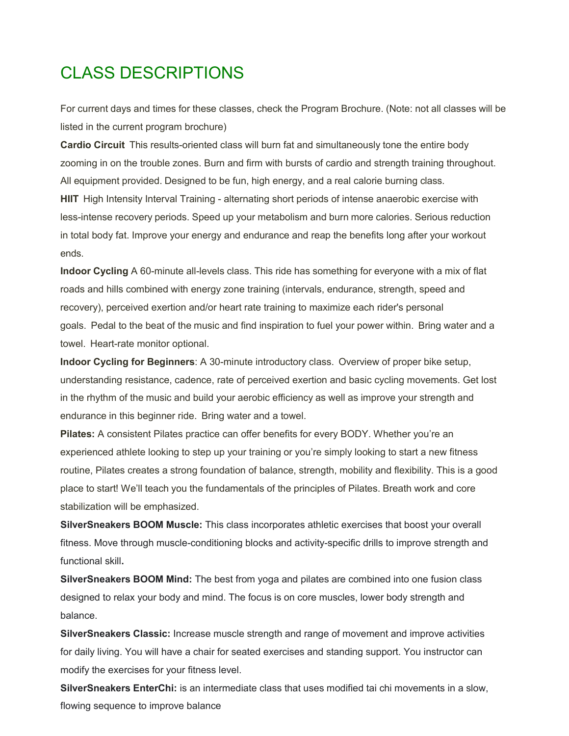## CLASS DESCRIPTIONS

For current days and times for these classes, check the Program Brochure. (Note: not all classes will be listed in the current program brochure)

**Cardio Circuit** This results-oriented class will burn fat and simultaneously tone the entire body zooming in on the trouble zones. Burn and firm with bursts of cardio and strength training throughout. All equipment provided. Designed to be fun, high energy, and a real calorie burning class. **HIIT** High Intensity Interval Training - alternating short periods of intense anaerobic exercise with less-intense recovery periods. Speed up your metabolism and burn more calories. Serious reduction in total body fat. Improve your energy and endurance and reap the benefits long after your workout ends.

**Indoor Cycling** A 60-minute all-levels class. This ride has something for everyone with a mix of flat roads and hills combined with energy zone training (intervals, endurance, strength, speed and recovery), perceived exertion and/or heart rate training to maximize each rider's personal goals. Pedal to the beat of the music and find inspiration to fuel your power within. Bring water and a towel. Heart-rate monitor optional.

**Indoor Cycling for Beginners**: A 30-minute introductory class. Overview of proper bike setup, understanding resistance, cadence, rate of perceived exertion and basic cycling movements. Get lost in the rhythm of the music and build your aerobic efficiency as well as improve your strength and endurance in this beginner ride. Bring water and a towel.

**Pilates:** A consistent Pilates practice can offer benefits for every BODY. Whether you're an experienced athlete looking to step up your training or you're simply looking to start a new fitness routine, Pilates creates a strong foundation of balance, strength, mobility and flexibility. This is a good place to start! We'll teach you the fundamentals of the principles of Pilates. Breath work and core stabilization will be emphasized.

**SilverSneakers BOOM Muscle:** This class incorporates athletic exercises that boost your overall fitness. Move through muscle-conditioning blocks and activity-specific drills to improve strength and functional skill**.** 

**SilverSneakers BOOM Mind:** The best from yoga and pilates are combined into one fusion class designed to relax your body and mind. The focus is on core muscles, lower body strength and balance.

**SilverSneakers Classic:** Increase muscle strength and range of movement and improve activities for daily living. You will have a chair for seated exercises and standing support. You instructor can modify the exercises for your fitness level.

**SilverSneakers EnterChi:** is an intermediate class that uses modified tai chi movements in a slow, flowing sequence to improve balance